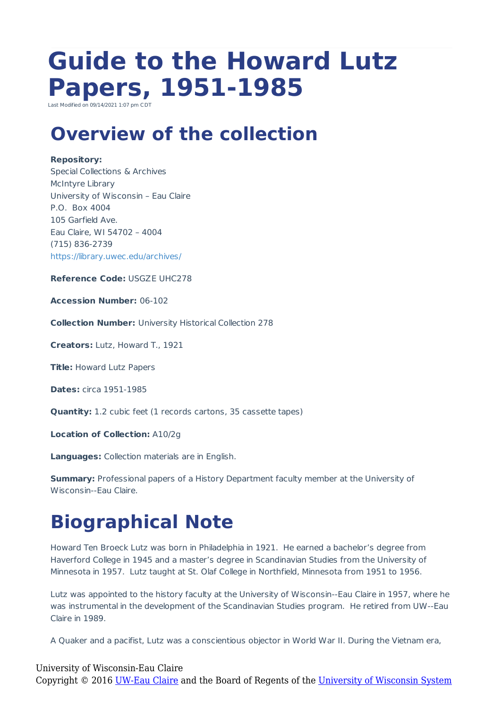# **Guide to the Howard Lutz Papers, 1951-1985**

Last Modified on 09/14/2021 1:07 pm CD

### **Overview of the collection**

#### **Repository:**

Special Collections & Archives McIntyre Library University of Wisconsin – Eau Claire P.O. Box 4004 105 Garfield Ave. Eau Claire, WI 54702 – 4004 (715) 836-2739 https://library.uwec.edu/archives/

**Reference Code:** USGZE UHC278

**Accession Number:** 06-102

**Collection Number:** University Historical Collection 278

**Creators:** Lutz, Howard T., 1921

**Title:** Howard Lutz Papers

**Dates:** circa 1951-1985

**Quantity:** 1.2 cubic feet (1 records cartons, 35 cassette tapes)

**Location of Collection:** A10/2g

**Languages:** Collection materials are in English.

**Summary:** Professional papers of a History Department faculty member at the University of Wisconsin--Eau Claire.

# **Biographical Note**

Howard Ten Broeck Lutz was born in Philadelphia in 1921. He earned a bachelor's degree from Haverford College in 1945 and a master's degree in Scandinavian Studies from the University of Minnesota in 1957. Lutz taught at St. Olaf College in Northfield, Minnesota from 1951 to 1956.

Lutz was appointed to the history faculty at the University of Wisconsin--Eau Claire in 1957, where he was instrumental in the development of the Scandinavian Studies program. He retired from UW--Eau Claire in 1989.

A Quaker and a pacifist, Lutz was a conscientious objector in World War II. During the Vietnam era,

### University of Wisconsin-Eau Claire Copyright © 2016 [UW-Eau Claire](http://www.uwec.edu) and the Board of Regents of the [University of Wisconsin System](http://www.uwsa.edu/)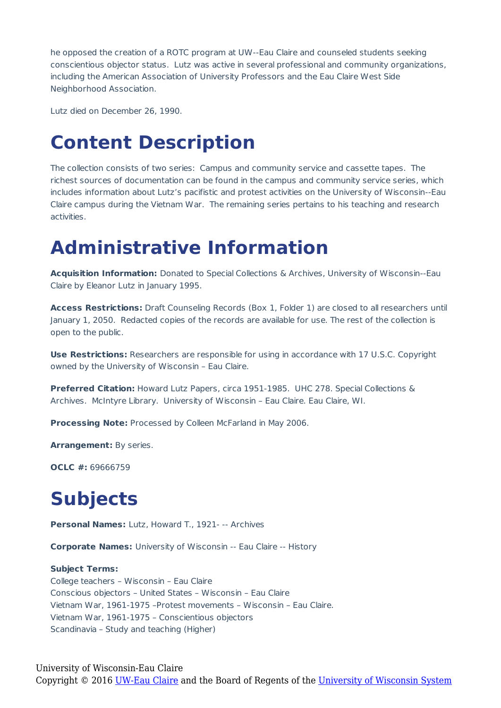he opposed the creation of a ROTC program at UW--Eau Claire and counseled students seeking conscientious objector status. Lutz was active in several professional and community organizations, including the American Association of University Professors and the Eau Claire West Side Neighborhood Association.

Lutz died on December 26, 1990.

### **Content Description**

The collection consists of two series: Campus and community service and cassette tapes. The richest sources of documentation can be found in the campus and community service series, which includes information about Lutz's pacifistic and protest activities on the University of Wisconsin--Eau Claire campus during the Vietnam War. The remaining series pertains to his teaching and research activities.

### **Administrative Information**

**Acquisition Information:** Donated to Special Collections & Archives, University of Wisconsin--Eau Claire by Eleanor Lutz in January 1995.

**Access Restrictions:** Draft Counseling Records (Box 1, Folder 1) are closed to all researchers until January 1, 2050. Redacted copies of the records are available for use. The rest of the collection is open to the public.

**Use Restrictions:** Researchers are responsible for using in accordance with 17 U.S.C. Copyright owned by the University of Wisconsin – Eau Claire.

**Preferred Citation:** Howard Lutz Papers, circa 1951-1985. UHC 278. Special Collections & Archives. McIntyre Library. University of Wisconsin – Eau Claire. Eau Claire, WI.

**Processing Note:** Processed by Colleen McFarland in May 2006.

**Arrangement:** By series.

**OCLC #:** 69666759

# **Subjects**

**Personal Names:** Lutz, Howard T., 1921- -- Archives

**Corporate Names:** University of Wisconsin -- Eau Claire -- History

#### **Subject Terms:**

College teachers – Wisconsin – Eau Claire Conscious objectors – United States – Wisconsin – Eau Claire Vietnam War, 1961-1975 –Protest movements – Wisconsin – Eau Claire. Vietnam War, 1961-1975 – Conscientious objectors Scandinavia – Study and teaching (Higher)